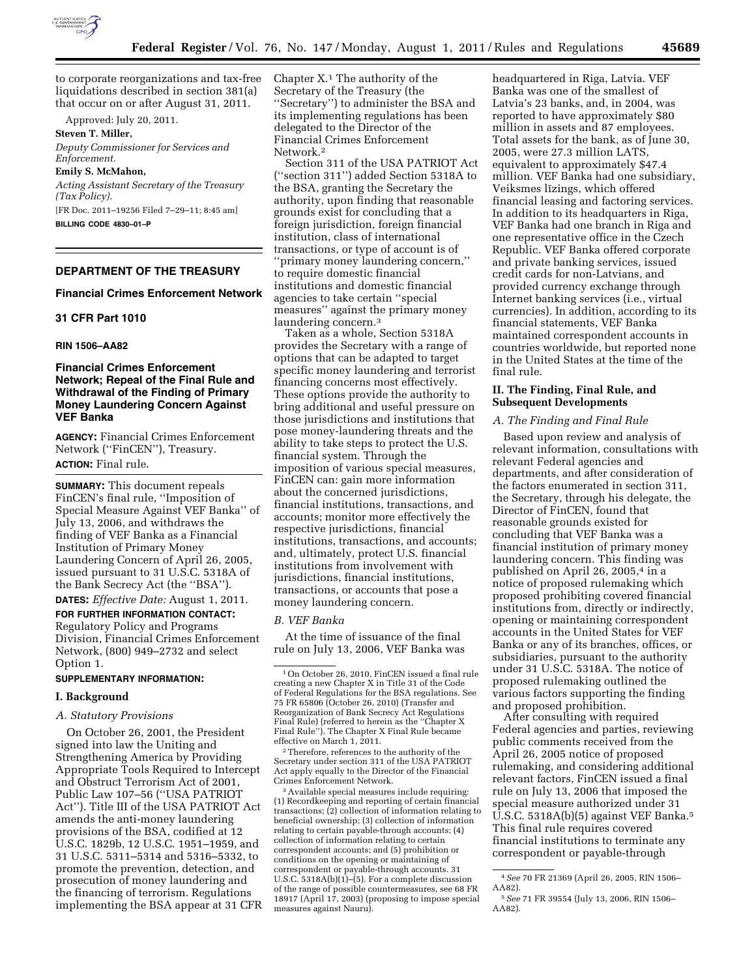

to corporate reorganizations and tax-free liquidations described in section 381(a) that occur on or after August 31, 2011.

Approved: July 20, 2011.

**Steven T. Miller,** 

*Deputy Commissioner for Services and Enforcement.* 

**Emily S. McMahon,** 

*Acting Assistant Secretary of the Treasury (Tax Policy).* 

[FR Doc. 2011–19256 Filed 7–29–11; 8:45 am] **BILLING CODE 4830–01–P** 

# **DEPARTMENT OF THE TREASURY**

## **Financial Crimes Enforcement Network**

### **31 CFR Part 1010**

### **RIN 1506–AA82**

## **Financial Crimes Enforcement Network; Repeal of the Final Rule and Withdrawal of the Finding of Primary Money Laundering Concern Against VEF Banka**

**AGENCY:** Financial Crimes Enforcement Network (''FinCEN''), Treasury. **ACTION:** Final rule.

**SUMMARY:** This document repeals FinCEN's final rule, ''Imposition of Special Measure Against VEF Banka'' of July 13, 2006, and withdraws the finding of VEF Banka as a Financial Institution of Primary Money Laundering Concern of April 26, 2005, issued pursuant to 31 U.S.C. 5318A of the Bank Secrecy Act (the ''BSA'').

**DATES:** *Effective Date:* August 1, 2011.

**FOR FURTHER INFORMATION CONTACT:**  Regulatory Policy and Programs Division, Financial Crimes Enforcement Network, (800) 949–2732 and select Option 1.

## **SUPPLEMENTARY INFORMATION:**

## **I. Background**

### *A. Statutory Provisions*

On October 26, 2001, the President signed into law the Uniting and Strengthening America by Providing Appropriate Tools Required to Intercept and Obstruct Terrorism Act of 2001, Public Law 107–56 (''USA PATRIOT Act''). Title III of the USA PATRIOT Act amends the anti-money laundering provisions of the BSA, codified at 12 U.S.C. 1829b, 12 U.S.C. 1951–1959, and 31 U.S.C. 5311–5314 and 5316–5332, to promote the prevention, detection, and prosecution of money laundering and the financing of terrorism. Regulations implementing the BSA appear at 31 CFR Chapter X.1 The authority of the Secretary of the Treasury (the ''Secretary'') to administer the BSA and its implementing regulations has been delegated to the Director of the Financial Crimes Enforcement Network.2

Section 311 of the USA PATRIOT Act (''section 311'') added Section 5318A to the BSA, granting the Secretary the authority, upon finding that reasonable grounds exist for concluding that a foreign jurisdiction, foreign financial institution, class of international transactions, or type of account is of ''primary money laundering concern,'' to require domestic financial institutions and domestic financial agencies to take certain ''special measures'' against the primary money laundering concern.3

Taken as a whole, Section 5318A provides the Secretary with a range of options that can be adapted to target specific money laundering and terrorist financing concerns most effectively. These options provide the authority to bring additional and useful pressure on those jurisdictions and institutions that pose money-laundering threats and the ability to take steps to protect the U.S. financial system. Through the imposition of various special measures, FinCEN can: gain more information about the concerned jurisdictions, financial institutions, transactions, and accounts; monitor more effectively the respective jurisdictions, financial institutions, transactions, and accounts; and, ultimately, protect U.S. financial institutions from involvement with jurisdictions, financial institutions, transactions, or accounts that pose a money laundering concern.

#### *B. VEF Banka*

At the time of issuance of the final rule on July 13, 2006, VEF Banka was

2Therefore, references to the authority of the Secretary under section 311 of the USA PATRIOT Act apply equally to the Director of the Financial

<sup>3</sup> Available special measures include requiring: (1) Recordkeeping and reporting of certain financial transactions; (2) collection of information relating to beneficial ownership; (3) collection of information relating to certain payable-through accounts; (4) collection of information relating to certain correspondent accounts; and (5) prohibition or conditions on the opening or maintaining of correspondent or payable-through accounts. 31 U.S.C.  $5318A(b)(1)$ –(5). For a complete discussion of the range of possible countermeasures, see 68 FR 18917 (April 17, 2003) (proposing to impose special measures against Nauru).

headquartered in Riga, Latvia. VEF Banka was one of the smallest of Latvia's 23 banks, and, in 2004, was reported to have approximately \$80 million in assets and 87 employees. Total assets for the bank, as of June 30, 2005, were 27.3 million LATS, equivalent to approximately \$47.4 million. VEF Banka had one subsidiary, Veiksmes līzings, which offered financial leasing and factoring services. In addition to its headquarters in Riga, VEF Banka had one branch in Riga and one representative office in the Czech Republic. VEF Banka offered corporate and private banking services, issued credit cards for non-Latvians, and provided currency exchange through Internet banking services (i.e., virtual currencies). In addition, according to its financial statements, VEF Banka maintained correspondent accounts in countries worldwide, but reported none in the United States at the time of the final rule.

## **II. The Finding, Final Rule, and Subsequent Developments**

### *A. The Finding and Final Rule*

Based upon review and analysis of relevant information, consultations with relevant Federal agencies and departments, and after consideration of the factors enumerated in section 311, the Secretary, through his delegate, the Director of FinCEN, found that reasonable grounds existed for concluding that VEF Banka was a financial institution of primary money laundering concern. This finding was published on April 26, 2005,4 in a notice of proposed rulemaking which proposed prohibiting covered financial institutions from, directly or indirectly, opening or maintaining correspondent accounts in the United States for VEF Banka or any of its branches, offices, or subsidiaries, pursuant to the authority under 31 U.S.C. 5318A. The notice of proposed rulemaking outlined the various factors supporting the finding and proposed prohibition.

After consulting with required Federal agencies and parties, reviewing public comments received from the April 26, 2005 notice of proposed rulemaking, and considering additional relevant factors, FinCEN issued a final rule on July 13, 2006 that imposed the special measure authorized under 31 U.S.C. 5318A(b)(5) against VEF Banka.5 This final rule requires covered financial institutions to terminate any correspondent or payable-through

<sup>1</sup>On October 26, 2010, FinCEN issued a final rule creating a new Chapter X in Title 31 of the Code of Federal Regulations for the BSA regulations. See 75 FR 65806 (October 26, 2010) (Transfer and Reorganization of Bank Secrecy Act Regulations Final Rule) (referred to herein as the ''Chapter X Final Rule''). The Chapter X Final Rule became effective on March 1, 2011.

<sup>4</sup>*See* 70 FR 21369 (April 26, 2005, RIN 1506– AA82).

<sup>5</sup>*See* 71 FR 39554 (July 13, 2006, RIN 1506– AA82).